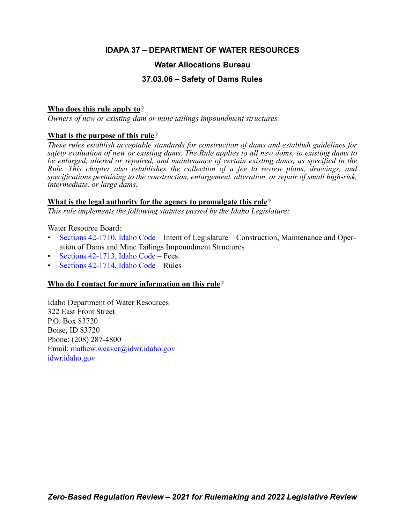## **IDAPA 37 – DEPARTMENT OF WATER RESOURCES**

## **Water Allocations Bureau**

## **37.03.06 – Safety of Dams Rules**

## **Who does this rule apply to**?

*Owners of new or existing dam or mine tailings impoundment structures.*

## **What is the purpose of this rule**?

*These rules establish acceptable standards for construction of dams and establish guidelines for safety evaluation of new or existing dams. The Rule applies to all new dams, to existing dams to be enlarged, altered or repaired, and maintenance of certain existing dams, as specified in the Rule. This chapter also establishes the collection of a fee to review plans, drawings, and specifications pertaining to the construction, enlargement, alteration, or repair of small high-risk, intermediate, or large dams.*

## **What is the legal authority for the agency to promulgate this rule**?

*This rule implements the following statutes passed by the Idaho Legislature:*

Water Resource Board:

- [Sections 42-1710, Idaho Code](https://legislature.idaho.gov/statutesrules/idstat/Title42/T42CH17/SECT42-1710/) Intent of Legislature Construction, Maintenance and Operation of Dams and Mine Tailings Impoundment Structures
- [Sections 42-1713, Idaho Code](https://legislature.idaho.gov/statutesrules/idstat/Title42/T42CH17/SECT42-1713/) Fees
- [Sections 42-1714, Idaho Code](https://legislature.idaho.gov/statutesrules/idstat/Title42/T42CH17/SECT42-1714/) Rules

## **Who do I contact for more information on this rule**?

Idaho Department of Water Resources 322 East Front Street P.O. Box 83720 Boise, ID 83720 Phone: (208) 287-4800 Email[: mathew.weaver@idwr.idaho.gov](mailto: mathew.weaver@idwr.idaho.gov) [idwr.idaho.gov](https://.idwr.idaho.gov)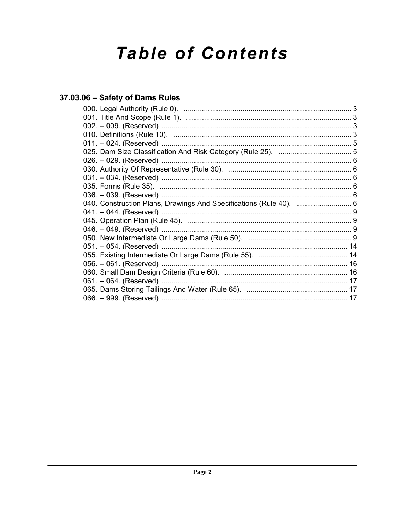# **Table of Contents**

## 37.03.06 - Safety of Dams Rules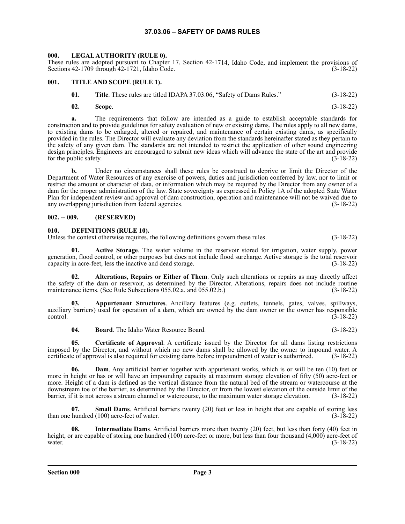#### **37.03.06 – SAFETY OF DAMS RULES**

#### <span id="page-2-1"></span><span id="page-2-0"></span>**000. LEGAL AUTHORITY (RULE 0).**

These rules are adopted pursuant to Chapter 17, Section 42-1714, Idaho Code, and implement the provisions of Sections 42-1709 through 42-1721, Idaho Code. (3-18-22)

#### <span id="page-2-2"></span>**001. TITLE AND SCOPE (RULE 1).**

**01. Title**. These rules are titled IDAPA 37.03.06, "Safety of Dams Rules." (3-18-22)

**02. Scope**. (3-18-22)

**a.** The requirements that follow are intended as a guide to establish acceptable standards for construction and to provide guidelines for safety evaluation of new or existing dams. The rules apply to all new dams, to existing dams to be enlarged, altered or repaired, and maintenance of certain existing dams, as specifically provided in the rules. The Director will evaluate any deviation from the standards hereinafter stated as they pertain to the safety of any given dam. The standards are not intended to restrict the application of other sound engineering design principles. Engineers are encouraged to submit new ideas which will advance the state of the art and provide for the public safety. (3-18-22)

**b.** Under no circumstances shall these rules be construed to deprive or limit the Director of the Department of Water Resources of any exercise of powers, duties and jurisdiction conferred by law, nor to limit or restrict the amount or character of data, or information which may be required by the Director from any owner of a dam for the proper administration of the law. State sovereignty as expressed in Policy 1A of the adopted State Water Plan for independent review and approval of dam construction, operation and maintenance will not be waived due to any overlapping jurisdiction from federal agencies. (3-18-22)

#### <span id="page-2-3"></span>**002. -- 009. (RESERVED)**

#### <span id="page-2-4"></span>**010. DEFINITIONS (RULE 10).**

Unless the context otherwise requires, the following definitions govern these rules. (3-18-22)

**01. Active Storage**. The water volume in the reservoir stored for irrigation, water supply, power generation, flood control, or other purposes but does not include flood surcharge. Active storage is the total reservoir capacity in acre-feet, less the inactive and dead storage. (3-18-22)

**02. Alterations, Repairs or Either of Them**. Only such alterations or repairs as may directly affect the safety of the dam or reservoir, as determined by the Director. Alterations, repairs does not include routine maintenance items. (See Rule Subsections 055.02.a. and 055.02.b.) (3-18-22) maintenance items. (See Rule Subsections 055.02.a. and 055.02.b.)

**03. Appurtenant Structures**. Ancillary features (e.g. outlets, tunnels, gates, valves, spillways, auxiliary barriers) used for operation of a dam, which are owned by the dam owner or the owner has responsible  $\frac{3-18-22}{2}$ 

**04. Board**. The Idaho Water Resource Board. (3-18-22)

**05. Certificate of Approval**. A certificate issued by the Director for all dams listing restrictions imposed by the Director, and without which no new dams shall be allowed by the owner to impound water. A certificate of approval is also required for existing dams before impoundment of water is authorized. (3-18-22)

**06. Dam**. Any artificial barrier together with appurtenant works, which is or will be ten (10) feet or more in height or has or will have an impounding capacity at maximum storage elevation of fifty (50) acre-feet or more. Height of a dam is defined as the vertical distance from the natural bed of the stream or watercourse at the downstream toe of the barrier, as determined by the Director, or from the lowest elevation of the outside limit of the barrier, if it is not across a stream channel or watercourse, to the maximum water storage elevation. (3-18-22)

**07. Small Dams**. Artificial barriers twenty (20) feet or less in height that are capable of storing less hundred (100) acre-feet of water. (3-18-22) than one hundred  $(100)$  acre-feet of water.

**08. Intermediate Dams**. Artificial barriers more than twenty (20) feet, but less than forty (40) feet in height, or are capable of storing one hundred (100) acre-feet or more, but less than four thousand (4,000) acre-feet of water.  $(3-18-22)$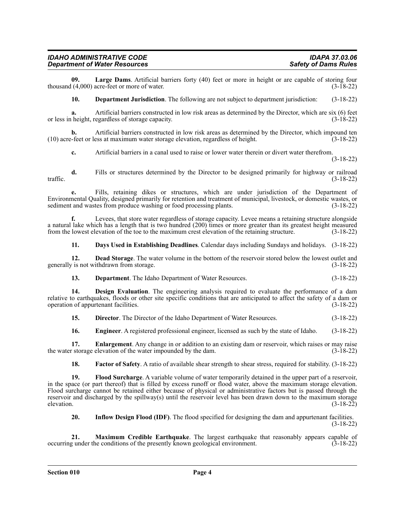**09.** Large Dams. Artificial barriers forty (40) feet or more in height or are capable of storing four (4.000) acre-feet or more of water. thousand  $(4,000)$  acre-feet or more of water.

**10. Department Jurisdiction**. The following are not subject to department jurisdiction: (3-18-22)

**a.** Artificial barriers constructed in low risk areas as determined by the Director, which are six (6) feet height, regardless of storage capacity. (3-18-22) or less in height, regardless of storage capacity.

**b.** Artificial barriers constructed in low risk areas as determined by the Director, which impound ten (10) acre-feet or less at maximum water storage elevation, regardless of height. (3-18-22)

**c.** Artificial barriers in a canal used to raise or lower water therein or divert water therefrom.

(3-18-22)

**d.** Fills or structures determined by the Director to be designed primarily for highway or railroad (3-18-22) traffic.  $(3-18-22)$ 

**e.** Fills, retaining dikes or structures, which are under jurisdiction of the Department of Environmental Quality, designed primarily for retention and treatment of municipal, livestock, or domestic wastes, or sediment and wastes from produce washing or food processing plants. (3-18-22)

**f.** Levees, that store water regardless of storage capacity. Levee means a retaining structure alongside a natural lake which has a length that is two hundred (200) times or more greater than its greatest height measured from the lowest elevation of the toe to the maximum crest elevation of the retaining structure. (3-18-22)

**11. Days Used in Establishing Deadlines**. Calendar days including Sundays and holidays. (3-18-22)

**12. Dead Storage**. The water volume in the bottom of the reservoir stored below the lowest outlet and generally is not withdrawn from storage. (3-18-22)

**13. Department**. The Idaho Department of Water Resources. (3-18-22)

**14. Design Evaluation**. The engineering analysis required to evaluate the performance of a dam relative to earthquakes, floods or other site specific conditions that are anticipated to affect the safety of a dam or operation of appurtenant facilities. (3-18-22) operation of appurtenant facilities.

**15. Director**. The Director of the Idaho Department of Water Resources. (3-18-22)

**16. Engineer**. A registered professional engineer, licensed as such by the state of Idaho. (3-18-22)

**17. Enlargement**. Any change in or addition to an existing dam or reservoir, which raises or may raise the water storage elevation of the water impounded by the dam. (3-18-22)

**18.** Factor of Safety. A ratio of available shear strength to shear stress, required for stability. (3-18-22)

**19. Flood Surcharge**. A variable volume of water temporarily detained in the upper part of a reservoir, in the space (or part thereof) that is filled by excess runoff or flood water, above the maximum storage elevation. Flood surcharge cannot be retained either because of physical or administrative factors but is passed through the reservoir and discharged by the spillway(s) until the reservoir level has been drawn down to the maximum storage elevation. (3-18-22) elevation. (3-18-22)

**20. Inflow Design Flood (IDF)**. The flood specified for designing the dam and appurtenant facilities. (3-18-22)

**21. Maximum Credible Earthquake**. The largest earthquake that reasonably appears capable of gunder the conditions of the presently known geological environment. (3-18-22) occurring under the conditions of the presently known geological environment.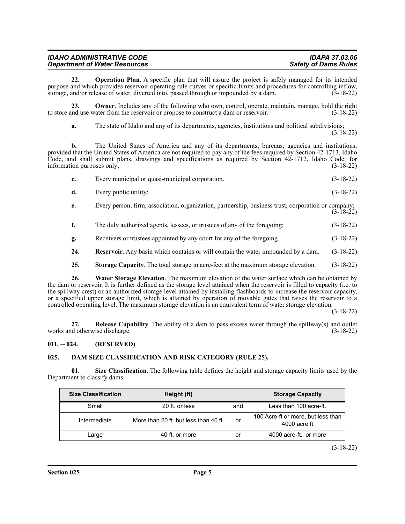| <b>IDAHO ADMINISTRATIVE CODE</b>     | IDAPA 37.03.06              |
|--------------------------------------|-----------------------------|
| <b>Department of Water Resources</b> | <b>Safety of Dams Rules</b> |

**22. Operation Plan**. A specific plan that will assure the project is safely managed for its intended purpose and which provides reservoir operating rule curves or specific limits and procedures for controlling inflow, storage, and/or release of water, diverted into, passed through or impounded by a dam. (3-18-22)

**23. Owner**. Includes any of the following who own, control, operate, maintain, manage, hold the right to store and use water from the reservoir or propose to construct a dam or reservoir. (3-18-22)

**a.** The state of Idaho and any of its departments, agencies, institutions and political subdivisions;

(3-18-22)

**b.** The United States of America and any of its departments, bureaus, agencies and institutions; provided that the United States of America are not required to pay any of the fees required by Section 42-1713, Idaho Code, and shall submit plans, drawings and specifications as required by Section 42-1712, Idaho Code, for information purposes only; (3-18-22)

|    | Every municipal or quasi-municipal corporation. | $(3-18-22)$ |
|----|-------------------------------------------------|-------------|
| d. | Every public utility;                           | $(3-18-22)$ |

**e.** Every person, firm, association, organization, partnership, business trust, corporation or company; (3-18-22)

**f.** The duly authorized agents, lessees, or trustees of any of the foregoing; (3-18-22)

**g.** Receivers or trustees appointed by any court for any of the foregoing. (3-18-22)

**24. Reservoir**. Any basin which contains or will contain the water impounded by a dam. (3-18-22)

**25. Storage Capacity**. The total storage in acre-feet at the maximum storage elevation. (3-18-22)

**26. Water Storage Elevation**. The maximum elevation of the water surface which can be obtained by the dam or reservoir. It is further defined as the storage level attained when the reservoir is filled to capacity (i.e. to the spillway crest) or an authorized storage level attained by installing flashboards to increase the reservoir capacity, or a specified upper storage limit, which is attained by operation of movable gates that raises the reservoir to a controlled operating level. The maximum storage elevation is an equivalent term of water storage elevation.

(3-18-22)

**27. Release Capability**. The ability of a dam to pass excess water through the spillway(s) and outlet works and otherwise discharge. (3-18-22)

#### <span id="page-4-0"></span>**011. -- 024. (RESERVED)**

#### <span id="page-4-1"></span>**025. DAM SIZE CLASSIFICATION AND RISK CATEGORY (RULE 25).**

**01. Size Classification**. The following table defines the height and storage capacity limits used by the Department to classify dams:

| <b>Size Classification</b> | Height (ft)                           |     | <b>Storage Capacity</b>                              |
|----------------------------|---------------------------------------|-----|------------------------------------------------------|
| Small                      | 20 ft. or less                        | and | Less than 100 acre-ft.                               |
| Intermediate               | More than 20 ft. but less than 40 ft. | or  | 100 Acre-ft or more, but less than<br>$4000$ acre ft |
| Large                      | 40 ft. or more                        | or  | 4000 acre-ft., or more                               |

(3-18-22)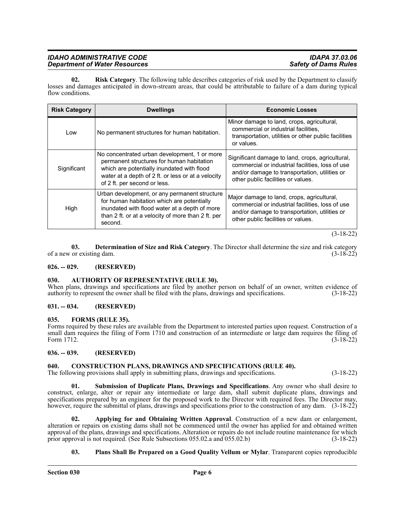#### *IDAHO ADMINISTRATIVE CODE IDAPA 37.03.06 Department of Water Resources*

**02. Risk Category**. The following table describes categories of risk used by the Department to classify losses and damages anticipated in down-stream areas, that could be attributable to failure of a dam during typical flow conditions.

| <b>Risk Category</b> | <b>Dwellings</b>                                                                                                                                                                                                              | <b>Economic Losses</b>                                                                                                                                                                      |
|----------------------|-------------------------------------------------------------------------------------------------------------------------------------------------------------------------------------------------------------------------------|---------------------------------------------------------------------------------------------------------------------------------------------------------------------------------------------|
| Low                  | No permanent structures for human habitation.                                                                                                                                                                                 | Minor damage to land, crops, agricultural,<br>commercial or industrial facilities,<br>transportation, utilities or other public facilities<br>or values.                                    |
| Significant          | No concentrated urban development, 1 or more<br>permanent structures for human habitation<br>which are potentially inundated with flood<br>water at a depth of 2 ft. or less or at a velocity<br>of 2 ft. per second or less. | Significant damage to land, crops, agricultural,<br>commercial or industrial facilities, loss of use<br>and/or damage to transportation, utilities or<br>other public facilities or values. |
| High                 | Urban development, or any permanent structure<br>for human habitation which are potentially<br>inundated with flood water at a depth of more<br>than 2 ft. or at a velocity of more than 2 ft. per<br>second.                 | Major damage to land, crops, agricultural,<br>commercial or industrial facilities, loss of use<br>and/or damage to transportation, utilities or<br>other public facilities or values.       |

(3-18-22)

**03. Determination of Size and Risk Category**. The Director shall determine the size and risk category of a new or existing dam. (3-18-22)

#### <span id="page-5-0"></span>**026. -- 029. (RESERVED)**

#### <span id="page-5-1"></span>**030. AUTHORITY OF REPRESENTATIVE (RULE 30).**

When plans, drawings and specifications are filed by another person on behalf of an owner, written evidence of authority to represent the owner shall be filed with the plans, drawings and specifications. (3-18-22)

#### <span id="page-5-2"></span>**031. -- 034. (RESERVED)**

#### <span id="page-5-3"></span>**035. FORMS (RULE 35).**

Forms required by these rules are available from the Department to interested parties upon request. Construction of a small dam requires the filing of Form 1710 and construction of an intermediate or large dam requires the filing of Form 1712.<br>(3-18-22) Form 1712. (3-18-22)

#### <span id="page-5-4"></span>**036. -- 039. (RESERVED)**

#### <span id="page-5-5"></span>**040. CONSTRUCTION PLANS, DRAWINGS AND SPECIFICATIONS (RULE 40).**

The following provisions shall apply in submitting plans, drawings and specifications. (3-18-22)

**01. Submission of Duplicate Plans, Drawings and Specifications**. Any owner who shall desire to construct, enlarge, alter or repair any intermediate or large dam, shall submit duplicate plans, drawings and specifications prepared by an engineer for the proposed work to the Director with required fees. The Director may, however, require the submittal of plans, drawings and specifications prior to the construction of any dam. (3-18-22)

**02. Applying for and Obtaining Written Approval**. Construction of a new dam or enlargement, alteration or repairs on existing dams shall not be commenced until the owner has applied for and obtained written approval of the plans, drawings and specifications. Alteration or repairs do not include routine maintenance for which prior approval is not required. (See Rule Subsections 055.02.a and 055.02.b) (3-18-22)

#### **03. Plans Shall Be Prepared on a Good Quality Vellum or Mylar**. Transparent copies reproducible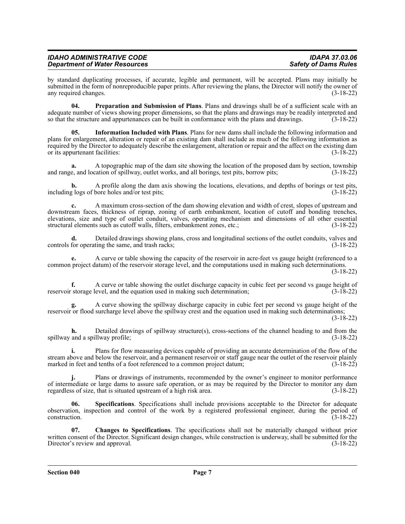| <b>IDAHO ADMINISTRATIVE CODE</b>     | <b>IDAPA 37.03.06</b>       |
|--------------------------------------|-----------------------------|
| <b>Department of Water Resources</b> | <b>Safety of Dams Rules</b> |

by standard duplicating processes, if accurate, legible and permanent, will be accepted. Plans may initially be submitted in the form of nonreproducible paper prints. After reviewing the plans, the Director will notify the owner of any required changes. (3-18-22)

**04. Preparation and Submission of Plans**. Plans and drawings shall be of a sufficient scale with an adequate number of views showing proper dimensions, so that the plans and drawings may be readily interpreted and<br>so that the structure and appurtenances can be built in conformance with the plans and drawings. (3-18-22) so that the structure and appurtenances can be built in conformance with the plans and drawings.

**05. Information Included with Plans**. Plans for new dams shall include the following information and plans for enlargement, alteration or repair of an existing dam shall include as much of the following information as required by the Director to adequately describe the enlargement, alteration or repair and the affect on the existing dam or its appurtenant facilities: (3-18-22)

**a.** A topographic map of the dam site showing the location of the proposed dam by section, township and range, and location of spillway, outlet works, and all borings, test pits, borrow pits; (3-18-22)

**b.** A profile along the dam axis showing the locations, elevations, and depths of borings or test pits, (3-18-22) including logs of bore holes and/or test pits;

**c.** A maximum cross-section of the dam showing elevation and width of crest, slopes of upstream and downstream faces, thickness of riprap, zoning of earth embankment, location of cutoff and bonding trenches, elevations, size and type of outlet conduit, valves, operating mechanism and dimensions of all other essential structural elements such as cutoff walls, filters, embankment zones, etc.; (3-18-22)

**d.** Detailed drawings showing plans, cross and longitudinal sections of the outlet conduits, valves and for operating the same, and trash racks; controls for operating the same, and trash racks;

**e.** A curve or table showing the capacity of the reservoir in acre-feet vs gauge height (referenced to a common project datum) of the reservoir storage level, and the computations used in making such determinations.

(3-18-22)

**f.** A curve or table showing the outlet discharge capacity in cubic feet per second vs gauge height of reservoir storage level, and the equation used in making such determination; (3-18-22)

**g.** A curve showing the spillway discharge capacity in cubic feet per second vs gauge height of the reservoir or flood surcharge level above the spillway crest and the equation used in making such determinations;

(3-18-22)

**h.** Detailed drawings of spillway structure(s), cross-sections of the channel heading to and from the and a spillway profile; (3-18-22) spillway and a spillway profile;

**i.** Plans for flow measuring devices capable of providing an accurate determination of the flow of the stream above and below the reservoir, and a permanent reservoir or staff gauge near the outlet of the reservoir plainly marked in feet and tenths of a foot referenced to a common project datum; (3-18-22)

**j.** Plans or drawings of instruments, recommended by the owner's engineer to monitor performance of intermediate or large dams to assure safe operation, or as may be required by the Director to monitor any dam regardless of size, that is situated upstream of a high risk area. (3-18-22)

**06. Specifications**. Specifications shall include provisions acceptable to the Director for adequate observation, inspection and control of the work by a registered professional engineer, during the period of construction. (3-18-22)

**07. Changes to Specifications**. The specifications shall not be materially changed without prior written consent of the Director. Significant design changes, while construction is underway, shall be submitted for the Director's review and approval. (3-18-22) Director's review and approval.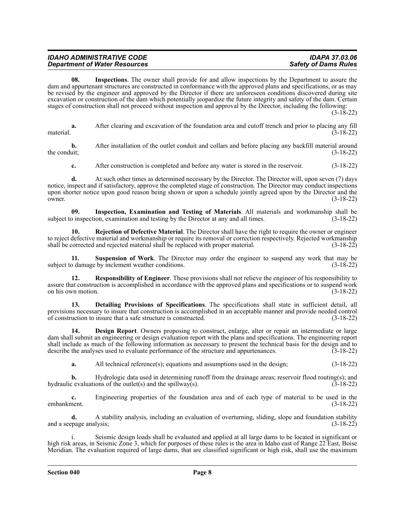| <b>IDAHO ADMINISTRATIVE CODE</b>     | <b>IDAPA 37.03.06</b>       |
|--------------------------------------|-----------------------------|
| <b>Department of Water Resources</b> | <b>Safety of Dams Rules</b> |

**08. Inspections**. The owner shall provide for and allow inspections by the Department to assure the dam and appurtenant structures are constructed in conformance with the approved plans and specifications, or as may be revised by the engineer and approved by the Director if there are unforeseen conditions discovered during site excavation or construction of the dam which potentially jeopardize the future integrity and safety of the dam. Certain stages of construction shall not proceed without inspection and approval by the Director, including the following:

(3-18-22)

**a.** After clearing and excavation of the foundation area and cutoff trench and prior to placing any fill material.  $(3-18-22)$ 

**b.** After installation of the outlet conduit and collars and before placing any backfill material around the conduit;  $(3-18-22)$ 

**c.** After construction is completed and before any water is stored in the reservoir. (3-18-22)

**d.** At such other times as determined necessary by the Director. The Director will, upon seven (7) days notice, inspect and if satisfactory, approve the completed stage of construction. The Director may conduct inspections upon shorter notice upon good reason being shown or upon a schedule jointly agreed upon by the Director and the owner. (3-18-22)

**09.** Inspection, Examination and Testing of Materials. All materials and workmanship shall be birection, examination and testing by the Director at any and all times. (3-18-22) subject to inspection, examination and testing by the Director at any and all times.

**10. Rejection of Defective Material**. The Director shall have the right to require the owner or engineer to reject defective material and workmanship or require its removal or correction respectively. Rejected workmanship<br>(3-18-22) shall be corrected and rejected material shall be replaced with proper material. shall be corrected and rejected material shall be replaced with proper material.

**11. Suspension of Work**. The Director may order the engineer to suspend any work that may be o damage by inclement weather conditions. (3-18-22) subject to damage by inclement weather conditions.

**12. Responsibility of Engineer**. These provisions shall not relieve the engineer of his responsibility to assure that construction is accomplished in accordance with the approved plans and specifications or to suspend work on his own motion. (3-18-22)

**13. Detailing Provisions of Specifications**. The specifications shall state in sufficient detail, all provisions necessary to insure that construction is accomplished in an acceptable manner and provide needed control<br>of construction to insure that a safe structure is constructed. (3-18-22) of construction to insure that a safe structure is constructed.

**14. Design Report**. Owners proposing to construct, enlarge, alter or repair an intermediate or large dam shall submit an engineering or design evaluation report with the plans and specifications. The engineering report shall include as much of the following information as necessary to present the technical basis for the design and to describe the analyses used to evaluate performance of the structure and appurtenances. (3-18-22)

**a.** All technical reference(s); equations and assumptions used in the design;  $(3-18-22)$ 

**b.** Hydrologic data used in determining runoff from the drainage areas; reservoir flood routing(s); and hydraulic evaluations of the outlet(s) and the spillway(s).  $(\overline{3}-18-22)$ 

**c.** Engineering properties of the foundation area and of each type of material to be used in the embankment. (3-18-22) embankment. (3-18-22)

**d.** A stability analysis, including an evaluation of overturning, sliding, slope and foundation stability and a seepage analysis; (3-18-22)

i. Seismic design loads shall be evaluated and applied at all large dams to be located in significant or high risk areas, in Seismic Zone 3, which for purposes of these rules is the area in Idaho east of Range 22 East, Boise Meridian. The evaluation required of large dams, that are classified significant or high risk, shall use the maximum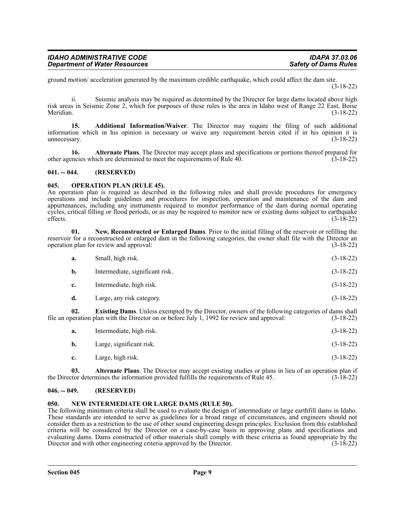| <b>IDAHO ADMINISTRATIVE CODE</b>     | IDAPA 37.03.06              |
|--------------------------------------|-----------------------------|
| <b>Department of Water Resources</b> | <b>Safety of Dams Rules</b> |

ground motion/ acceleration generated by the maximum credible earthquake, which could affect the dam site. (3-18-22)

ii. Seismic analysis may be required as determined by the Director for large dams located above high risk areas in Seismic Zone 2, which for purposes of these rules is the area in Idaho west of Range 22 East, Boise Meridian. (3-18-22)

**15. Additional Information/Waiver**. The Director may require the filing of such additional information which in his opinion is necessary or waive any requirement herein cited if in his opinion it is unnecessary.  $(3-18-22)$ 

**16. Alternate Plans**. The Director may accept plans and specifications or portions thereof prepared for noises which are determined to meet the requirements of Rule 40. (3-18-22) other agencies which are determined to meet the requirements of Rule 40.

#### <span id="page-8-0"></span>**041. -- 044. (RESERVED)**

#### <span id="page-8-1"></span>**045. OPERATION PLAN (RULE 45).**

An operation plan is required as described in the following rules and shall provide procedures for emergency operations and include guidelines and procedures for inspection, operation and maintenance of the dam and appurtenances, including any instruments required to monitor performance of the dam during normal operating cycles, critical filling or flood periods, or as may be required to monitor new or existing dams subject to earthquake<br>effects. (3-18-22) effects.  $(3-18-22)$ 

**01. New, Reconstructed or Enlarged Dams**. Prior to the initial filling of the reservoir or refilling the reservoir for a reconstructed or enlarged dam in the following categories, the owner shall file with the Director an operation plan for review and approval: (3-18-22) operation plan for review and approval:

| a.             | Small, high risk.               | $(3-18-22)$ |
|----------------|---------------------------------|-------------|
| $\mathbf{b}$ . | Intermediate, significant risk. | $(3-18-22)$ |
| c.             | Intermediate, high risk.        | $(3-18-22)$ |
| d.             | Large, any risk category.       | $(3-18-22)$ |
|                |                                 |             |

**02. Existing Dams**. Unless exempted by the Director, owners of the following categories of dams shall file an operation plan with the Director on or before July 1, 1992 for review and approval: (3-18-22)

| а.        | Intermediate, high risk. | $(3-18-22)$ |
|-----------|--------------------------|-------------|
| <b>b.</b> | Large, significant risk. | $(3-18-22)$ |
| c.        | Large, high risk.        | $(3-18-22)$ |

**03. Alternate Plans**. The Director may accept existing studies or plans in lieu of an operation plan if tor determines the information provided fulfills the requirements of Rule 45. (3-18-22) the Director determines the information provided fulfills the requirements of Rule 45.

#### <span id="page-8-2"></span>**046. -- 049. (RESERVED)**

#### <span id="page-8-3"></span>**050. NEW INTERMEDIATE OR LARGE DAMS (RULE 50).**

The following minimum criteria shall be used to evaluate the design of intermediate or large earthfill dams in Idaho. These standards are intended to serve as guidelines for a broad range of circumstances, and engineers should not consider them as a restriction to the use of other sound engineering design principles. Exclusion from this established criteria will be considered by the Director on a case-by-case basis in approving plans and specifications and evaluating dams. Dams constructed of other materials shall comply with these criteria as found appropriate by the Director and with other engineering criteria approved by the Director. (3-18-22) Director and with other engineering criteria approved by the Director.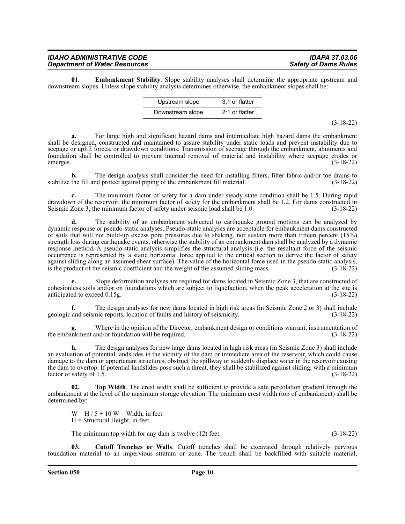#### *IDAHO ADMINISTRATIVE CODE IDAPA 37.03.06 Department of Water Resources*

**01. Embankment Stability**. Slope stability analyses shall determine the appropriate upstream and downstream slopes. Unless slope stability analysis determines otherwise, the embankment slopes shall be:

| Upstream slope   | 3:1 or flatter   |
|------------------|------------------|
| Downstream slope | $2:1$ or flatter |

(3-18-22)

**a.** For large high and significant hazard dams and intermediate high hazard dams the embankment shall be designed, constructed and maintained to assure stability under static loads and prevent instability due to seepage or uplift forces, or drawdown conditions. Transmission of seepage through the embankment, abutments and foundation shall be controlled to prevent internal removal of material and instability where seepage erodes or emerges.  $(3-18-22)$ 

**b.** The design analysis shall consider the need for installing filters, filter fabric and/or toe drains to stabilize the fill and protect against piping of the embankment fill material. (3-18-22)

**c.** The minimum factor of safety for a dam under steady state condition shall be 1.5. During rapid drawdown of the reservoir, the minimum factor of safety for the embankment shall be 1.2. For dams constructed in Seismic Zone 3, the minimum factor of safety under seismic load shall be 1.0. (3-18-22)

**d.** The stability of an embankment subjected to earthquake ground motions can be analyzed by dynamic response or pseudo-static analyses. Pseudo-static analyses are acceptable for embankment dams constructed of soils that will not build-up excess pore pressures due to shaking, nor sustain more than fifteen percent (15%) strength loss during earthquake events, otherwise the stability of an embankment dam shall be analyzed by a dynamic response method. A pseudo-static analysis simplifies the structural analysis (i.e. the resultant force of the seismic occurrence is represented by a static horizontal force applied to the critical section to derive the factor of safety against sliding along an assumed shear surface). The value of the horizontal force used in the pseudo-static analysis, is the product of the seismic coefficient and the weight of the assumed sliding mass. (3-18-22) is the product of the seismic coefficient and the weight of the assumed sliding mass.

**e.** Slope deformation analyses are required for dams located in Seismic Zone 3, that are constructed of cohesionless soils and/or on foundations which are subject to liquefaction, when the peak acceleration at the site is anticipated to exceed 0.15g. (3-18-22)

**f.** The design analyses for new dams located in high risk areas (in Seismic Zone 2 or 3) shall include geologic and seismic reports, location of faults and history of seismicity. (3-18-22)

Where in the opinion of the Director, embankment design or conditions warrant, instrumentation of md/or foundation will be required. (3-18-22) the embankment and/or foundation will be required.

**h.** The design analyses for new large dams located in high risk areas (in Seismic Zone 3) shall include an evaluation of potential landslides in the vicinity of the dam or immediate area of the reservoir, which could cause damage to the dam or appurtenant structures, obstruct the spillway or suddenly displace water in the reservoir causing the dam to overtop. If potential landslides pose such a threat, they shall be stabilized against sliding, with a minimum<br>factor of safety of 1.5. (3-18-22) factor of safety of  $1.5$ .

**02. Top Width**. The crest width shall be sufficient to provide a safe percolation gradient through the embankment at the level of the maximum storage elevation. The minimum crest width (top of embankment) shall be determined by:

 $W = H / 5 + 10 W = Width$ , in feet  $H =$  Structural Height, in feet

The minimum top width for any dam is twelve (12) feet. (3-18-22)

**03. Cutoff Trenches or Walls**. Cutoff trenches shall be excavated through relatively pervious foundation material to an impervious stratum or zone. The trench shall be backfilled with suitable material,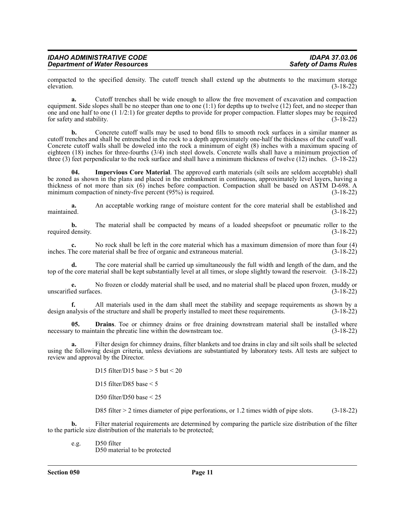| <b>IDAHO ADMINISTRATIVE CODE</b>     | <b>IDAPA 37.03.06</b>       |
|--------------------------------------|-----------------------------|
| <b>Department of Water Resources</b> | <b>Safety of Dams Rules</b> |

compacted to the specified density. The cutoff trench shall extend up the abutments to the maximum storage elevation. (3-18-22) elevation.  $(3-18-22)$ 

**a.** Cutoff trenches shall be wide enough to allow the free movement of excavation and compaction equipment. Side slopes shall be no steeper than one to one  $(1:1)$  for depths up to twelve  $(12)$  feet, and no steeper than one and one half to one (1  $1/2:1$ ) for greater depths to provide for proper compaction. Flatter slopes may be required for safety and stability. (3-18-22) for safety and stability.

**b.** Concrete cutoff walls may be used to bond fills to smooth rock surfaces in a similar manner as cutoff trenches and shall be entrenched in the rock to a depth approximately one-half the thickness of the cutoff wall. Concrete cutoff walls shall be doweled into the rock a minimum of eight (8) inches with a maximum spacing of eighteen (18) inches for three-fourths (3/4) inch steel dowels. Concrete walls shall have a minimum projection of three (3) feet perpendicular to the rock surface and shall have a minimum thickness of twelve (12) inches. (3-18-22)

**04. Impervious Core Material**. The approved earth materials (silt soils are seldom acceptable) shall be zoned as shown in the plans and placed in the embankment in continuous, approximately level layers, having a thickness of not more than six (6) inches before compaction. Compaction shall be based on ASTM D-698. A minimum compaction of ninety-five percent (95%) is required. (3-18-22)

**a.** An acceptable working range of moisture content for the core material shall be established and maintained. (3-18-22)

**b.** The material shall be compacted by means of a loaded sheepsfoot or pneumatic roller to the required density. (3-18-22)

**c.** No rock shall be left in the core material which has a maximum dimension of more than four (4) inches. The core material shall be free of organic and extraneous material. (3-18-22)

**d.** The core material shall be carried up simultaneously the full width and length of the dam, and the top of the core material shall be kept substantially level at all times, or slope slightly toward the reservoir. (3-18-22)

**e.** No frozen or cloddy material shall be used, and no material shall be placed upon frozen, muddy or unscarified surfaces. (3-18-22)

**f.** All materials used in the dam shall meet the stability and seepage requirements as shown by a design analysis of the structure and shall be properly installed to meet these requirements. (3-18-22)

**05. Drains**. Toe or chimney drains or free draining downstream material shall be installed where necessary to maintain the phreatic line within the downstream toe. (3-18-22)

**a.** Filter design for chimney drains, filter blankets and toe drains in clay and silt soils shall be selected using the following design criteria, unless deviations are substantiated by laboratory tests. All tests are subject to review and approval by the Director.

D15 filter/D15 base  $>$  5 but  $<$  20

D15 filter/D85 base  $\leq$  5

D50 filter/D50 base < 25

D85 filter > 2 times diameter of pipe perforations, or 1.2 times width of pipe slots. (3-18-22)

**b.** Filter material requirements are determined by comparing the particle size distribution of the filter to the particle size distribution of the materials to be protected;

e.g. D50 filter D50 material to be protected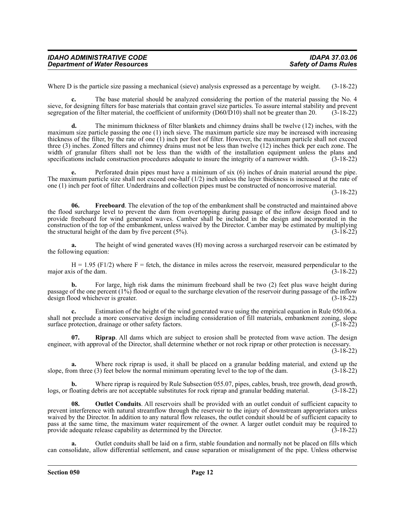| <b>IDAHO ADMINISTRATIVE CODE</b>     | IDAPA 37.03.06              |
|--------------------------------------|-----------------------------|
| <b>Department of Water Resources</b> | <b>Safety of Dams Rules</b> |

Where D is the particle size passing a mechanical (sieve) analysis expressed as a percentage by weight. (3-18-22)

**c.** The base material should be analyzed considering the portion of the material passing the No. 4 sieve, for designing filters for base materials that contain gravel size particles. To assure internal stability and prevent segregation of the filter material, the coefficient of uniformity (D60/D10) shall not be greater than 20. (3-18-22)

**d.** The minimum thickness of filter blankets and chimney drains shall be twelve (12) inches, with the maximum size particle passing the one (1) inch sieve. The maximum particle size may be increased with increasing thickness of the filter, by the rate of one (1) inch per foot of filter. However, the maximum particle shall not exceed three (3) inches. Zoned filters and chimney drains must not be less than twelve (12) inches thick per each zone. The width of granular filters shall not be less than the width of the installation equipment unless the plans and specifications include construction procedures adequate to insure the integrity of a narrower width. (3-18-22) specifications include construction procedures adequate to insure the integrity of a narrower width.

**e.** Perforated drain pipes must have a minimum of six (6) inches of drain material around the pipe. The maximum particle size shall not exceed one-half (1/2) inch unless the layer thickness is increased at the rate of one (1) inch per foot of filter. Underdrains and collection pipes must be constructed of noncorrosive material.

(3-18-22)

**06. Freeboard**. The elevation of the top of the embankment shall be constructed and maintained above the flood surcharge level to prevent the dam from overtopping during passage of the inflow design flood and to provide freeboard for wind generated waves. Camber shall be included in the design and incorporated in the construction of the top of the embankment, unless waived by the Director. Camber may be estimated by multiplying the structural height of the dam by five percent  $(5\%)$ .  $(3-18-22)$ 

**a.** The height of wind generated waves (H) moving across a surcharged reservoir can be estimated by the following equation:

 $H = 1.95$  (F1/2) where F = fetch, the distance in miles across the reservoir, measured perpendicular to the major axis of the dam.  $(3-18-22)$ 

**b.** For large, high risk dams the minimum freeboard shall be two (2) feet plus wave height during passage of the one percent (1%) flood or equal to the surcharge elevation of the reservoir during passage of the inflow design flood whichever is greater. (3-18-22)

**c.** Estimation of the height of the wind generated wave using the empirical equation in Rule 050.06.a. shall not preclude a more conservative design including consideration of fill materials, embankment zoning, slope surface protection, drainage or other safety factors. (3-18-22)

**07. Riprap**. All dams which are subject to erosion shall be protected from wave action. The design engineer, with approval of the Director, shall determine whether or not rock riprap or other protection is necessary. (3-18-22)

**a.** Where rock riprap is used, it shall be placed on a granular bedding material, and extend up the om three (3) feet below the normal minimum operating level to the top of the dam. (3-18-22) slope, from three  $(3)$  feet below the normal minimum operating level to the top of the dam.

**b.** Where riprap is required by Rule Subsection 055.07, pipes, cables, brush, tree growth, dead growth, logs, or floating debris are not acceptable substitutes for rock riprap and granular bedding material. (3-18-22)

**08. Outlet Conduits**. All reservoirs shall be provided with an outlet conduit of sufficient capacity to prevent interference with natural streamflow through the reservoir to the injury of downstream appropriators unless waived by the Director. In addition to any natural flow releases, the outlet conduit should be of sufficient capacity to pass at the same time, the maximum water requirement of the owner. A larger outlet conduit may be required to provide adequate release capability as determined by the Director. (3-18-22) provide adequate release capability as determined by the Director.

**a.** Outlet conduits shall be laid on a firm, stable foundation and normally not be placed on fills which can consolidate, allow differential settlement, and cause separation or misalignment of the pipe. Unless otherwise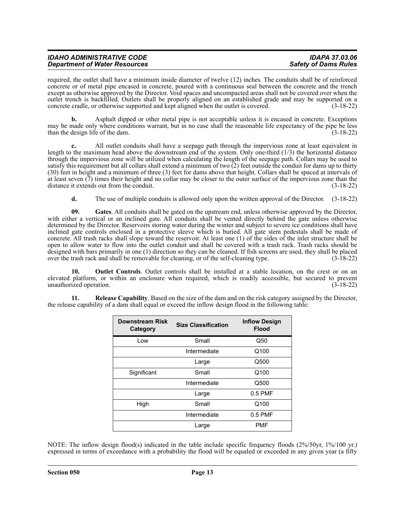| <b>IDAHO ADMINISTRATIVE CODE</b>     | <b>IDAPA 37.03.06</b>       |
|--------------------------------------|-----------------------------|
| <b>Department of Water Resources</b> | <b>Safety of Dams Rules</b> |

required, the outlet shall have a minimum inside diameter of twelve (12) inches. The conduits shall be of reinforced concrete or of metal pipe encased in concrete, poured with a continuous seal between the concrete and the trench except as otherwise approved by the Director. Void spaces and uncompacted areas shall not be covered over when the outlet trench is backfilled. Outlets shall be properly aligned on an established grade and may be supported on a concrete cradle, or otherwise supported and kept aligned when the outlet is covered. (3-18-22)

**b.** Asphalt dipped or other metal pipe is not acceptable unless it is encased in concrete. Exceptions may be made only where conditions warrant, but in no case shall the reasonable life expectancy of the pipe be less than the design life of the dam.

**c.** All outlet conduits shall have a seepage path through the impervious zone at least equivalent in length to the maximum head above the downstream end of the system. Only one-third (1/3) the horizontal distance through the impervious zone will be utilized when calculating the length of the seepage path. Collars may be used to satisfy this requirement but all collars shall extend a minimum of two (2) feet outside the conduit for dams up to thirty (30) feet in height and a minimum of three (3) feet for dams above that height. Collars shall be spaced at intervals of at least seven  $(7)$  times their height and no collar may be closer to the outer surface of the impervious zone than the distance it extends out from the conduit.  $(3-18-22)$ distance it extends out from the conduit.

**d.** The use of multiple conduits is allowed only upon the written approval of the Director. (3-18-22)

**09. Gates**. All conduits shall be gated on the upstream end, unless otherwise approved by the Director, with either a vertical or an inclined gate. All conduits shall be vented directly behind the gate unless otherwise determined by the Director. Reservoirs storing water during the winter and subject to severe ice conditions shall have inclined gate controls enclosed in a protective sleeve which is buried. All gate stem pedestals shall be made of concrete. All trash racks shall slope toward the reservoir. At least one (1) of the sides of the inlet structure shall be open to allow water to flow into the outlet conduit and shall be covered with a trash rack. Trash racks should be designed with bars primarily in one (1) direction so they can be cleaned. If fish screens are used, they shall be placed over the trash rack and shall be removable for cleaning, or of the self-cleaning type. (3-18-22) over the trash rack and shall be removable for cleaning, or of the self-cleaning type.

**10. Outlet Controls**. Outlet controls shall be installed at a stable location, on the crest or on an elevated platform, or within an enclosure when required, which is readily accessible, but secured to prevent unauthorized operation. (3-18-22)

**11. Release Capability**. Based on the size of the dam and on the risk category assigned by the Director, the release capability of a dam shall equal or exceed the inflow design flood in the following table:

| <b>Downstream Risk</b><br>Category | <b>Size Classification</b> | <b>Inflow Design</b><br><b>Flood</b> |
|------------------------------------|----------------------------|--------------------------------------|
| Low                                | Small                      | Q50                                  |
|                                    | Intermediate               | Q100                                 |
|                                    | Large                      | Q500                                 |
| Significant                        | Small                      | Q100                                 |
|                                    | Intermediate               | Q500                                 |
|                                    | Large                      | $0.5$ PMF                            |
| High                               | Small                      | Q100                                 |
|                                    | Intermediate               | $0.5$ PMF                            |
|                                    | Large                      | <b>PMF</b>                           |

NOTE: The inflow design flood(s) indicated in the table include specific frequency floods (2%/50yr, 1%/100 yr.) expressed in terms of exceedance with a probability the flood will be equaled or exceeded in any given year (a fifty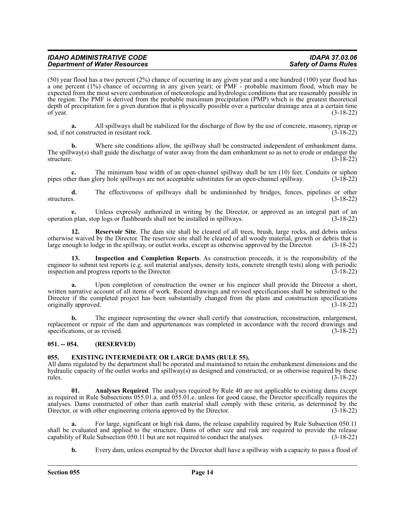| <b>IDAHO ADMINISTRATIVE CODE</b>     | <b>IDAPA 37.03.06</b>       |
|--------------------------------------|-----------------------------|
| <b>Department of Water Resources</b> | <b>Safety of Dams Rules</b> |
|                                      |                             |

(50) year flood has a two percent (2%) chance of occurring in any given year and a one hundred (100) year flood has a one percent (1%) chance of occurring in any given year); or PMF - probable maximum flood, which may be expected from the most severe combination of meteorologic and hydrologic conditions that are reasonably possible in the region. The PMF is derived from the probable maximum precipitation (PMP) which is the greatest theoretical depth of precipitation for a given duration that is physically possible over a particular drainage area at a certain time of year.  $(3-18-22)$ 

**a.** All spillways shall be stabilized for the discharge of flow by the use of concrete, masonry, riprap or sod, if not constructed in resistant rock. (3-18-22)

**b.** Where site conditions allow, the spillway shall be constructed independent of embankment dams. The spillway(s) shall guide the discharge of water away from the dam embankment so as not to erode or endanger the structure. (3-18-22) structure. (3-18-22)

**c.** The minimum base width of an open-channel spillway shall be ten (10) feet. Conduits or siphon ner than glory hole spillways are not acceptable substitutes for an open-channel spillway. (3-18-22) pipes other than glory hole spillways are not acceptable substitutes for an open-channel spillway.

**d.** The effectiveness of spillways shall be undiminished by bridges, fences, pipelines or other structures. (3-18-22)

**e.** Unless expressly authorized in writing by the Director, or approved as an integral part of an uplan, stop logs or flashboards shall not be installed in spillways. (3-18-22) operation plan, stop logs or flashboards shall not be installed in spillways.

**12. Reservoir Site**. The dam site shall be cleared of all trees, brush, large rocks, and debris unless otherwise waived by the Director. The reservoir site shall be cleared of all woody material, growth or debris that is large enough to lodge in the spillway, or outlet works, except as otherwise approved by the Director. (3-18-22)

**13. Inspection and Completion Reports**. As construction proceeds, it is the responsibility of the engineer to submit test reports (e.g. soil material analyses, density tests, concrete strength tests) along with periodic inspection and progress reports to the Director. (3-18-22)

**a.** Upon completion of construction the owner or his engineer shall provide the Director a short, written narrative account of all items of work. Record drawings and revised specifications shall be submitted to the Director if the completed project has been substantially changed from the plans and construction specifications originally approved. (3-18-22) originally approved.

**b.** The engineer representing the owner shall certify that construction, reconstruction, enlargement, replacement or repair of the dam and appurtenances was completed in accordance with the record drawings and specifications, or as revised. (3-18-22)

#### <span id="page-13-0"></span>**051. -- 054. (RESERVED)**

#### <span id="page-13-1"></span>**055. EXISTING INTERMEDIATE OR LARGE DAMS (RULE 55).**

All dams regulated by the department shall be operated and maintained to retain the embankment dimensions and the hydraulic capacity of the outlet works and spillway(s) as designed and constructed, or as otherwise required by these rules. (3-18-22) rules. (3-18-22)

**01. Analyses Required**. The analyses required by Rule 40 are not applicable to existing dams except as required in Rule Subsections 055.01.a. and 055.01.e. unless for good cause, the Director specifically requires the analyses. Dams constructed of other than earth material shall comply with these criteria, as determined by the Director, or with other engineering criteria approved by the Director. (3-18-22)

**a.** For large, significant or high risk dams, the release capability required by Rule Subsection 050.11 shall be evaluated and applied to the structure. Dams of other size and risk are required to provide the release capability of Rule Subsection 050.11 but are not required to conduct the analyses. (3-18-22) capability of Rule Subsection 050.11 but are not required to conduct the analyses.

**b.** Every dam, unless exempted by the Director shall have a spillway with a capacity to pass a flood of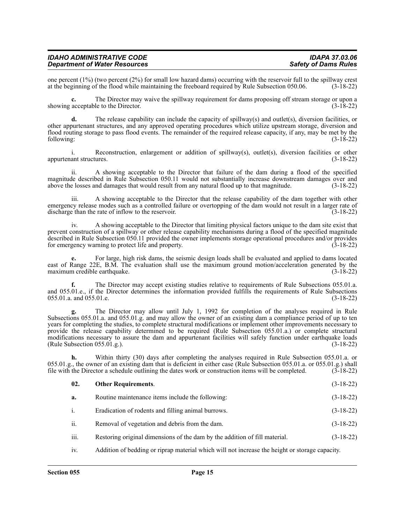| <b>IDAHO ADMINISTRATIVE CODE</b>     | <b>IDAPA 37.03.06</b>       |
|--------------------------------------|-----------------------------|
| <b>Department of Water Resources</b> | <b>Safety of Dams Rules</b> |

one percent  $(1%)$  (two percent  $(2%)$  for small low hazard dams) occurring with the reservoir full to the spillway crest at the beginning of the flood while maintaining the freeboard required by Rule Subsection 050.06.  $(3$ at the beginning of the flood while maintaining the freeboard required by Rule Subsection 050.06.

**c.** The Director may waive the spillway requirement for dams proposing off stream storage or upon a showing acceptable to the Director. (3-18-22)

**d.** The release capability can include the capacity of spillway(s) and outlet(s), diversion facilities, or other appurtenant structures, and any approved operating procedures which utilize upstream storage, diversion and flood routing storage to pass flood events. The remainder of the required release capacity, if any, may be met by the following:  $(3-18-22)$ 

i. Reconstruction, enlargement or addition of spillway(s), outlet(s), diversion facilities or other ant structures. (3-18-22) appurtenant structures.

ii. A showing acceptable to the Director that failure of the dam during a flood of the specified magnitude described in Rule Subsection 050.11 would not substantially increase downstream damages over and above the losses and damages that would result from any natural flood up to that magnitude. (3-18-22) above the losses and damages that would result from any natural flood up to that magnitude.

iii. A showing acceptable to the Director that the release capability of the dam together with other emergency release modes such as a controlled failure or overtopping of the dam would not result in a larger rate of discharge than the rate of inflow to the reservoir. (3-18-22)

iv. A showing acceptable to the Director that limiting physical factors unique to the dam site exist that prevent construction of a spillway or other release capability mechanisms during a flood of the specified magnitude described in Rule Subsection 050.11 provided the owner implements storage operational procedures and/or provides for emergency warning to protect life and property. (3-18-22)

**e.** For large, high risk dams, the seismic design loads shall be evaluated and applied to dams located east of Range 22E, B.M. The evaluation shall use the maximum ground motion/acceleration generated by the maximum credible earthquake. (3-18-22)

**f.** The Director may accept existing studies relative to requirements of Rule Subsections 055.01.a. and 055.01.e., if the Director determines the information provided fulfills the requirements of Rule Subsections 055.01.a. and 055.01.e. (3-18-22)

**g.** The Director may allow until July 1, 1992 for completion of the analyses required in Rule Subsections 055.01.a. and 055.01.g. and may allow the owner of an existing dam a compliance period of up to ten years for completing the studies, to complete structural modifications or implement other improvements necessary to provide the release capability determined to be required (Rule Subsection 055.01.a.) or complete structural modifications necessary to assure the dam and appurtenant facilities will safely function under earthquake loads (Rule Subsection 055.01.g.). (3-18-22)

**h.** Within thirty (30) days after completing the analyses required in Rule Subsection 055.01.a. or 055.01.g., the owner of an existing dam that is deficient in either case (Rule Subsection 055.01.a. or 055.01.g.) shall file with the Director a schedule outlining the dates work or construction items will be completed.  $(3-18-22)$ 

| 02. | <b>Other Requirements.</b> | $(3-18-22)$ |
|-----|----------------------------|-------------|
|     |                            |             |

- **a.** Routine maintenance items include the following: (3-18-22)
- i. Eradication of rodents and filling animal burrows. (3-18-22)
- ii. Removal of vegetation and debris from the dam. (3-18-22)
- iii. Restoring original dimensions of the dam by the addition of fill material. (3-18-22)
- iv. Addition of bedding or riprap material which will not increase the height or storage capacity.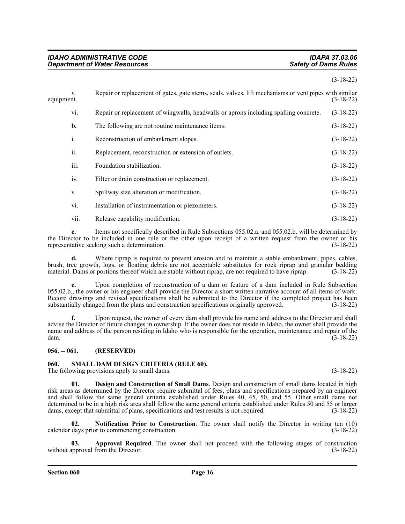#### (3-18-22)

| equipment. | V.             | Repair or replacement of gates, gate stems, seals, valves, lift mechanisms or vent pipes with similar | $(3-18-22)$ |
|------------|----------------|-------------------------------------------------------------------------------------------------------|-------------|
|            | vi.            | Repair or replacement of wingwalls, headwalls or aprons including spalling concrete.                  | $(3-18-22)$ |
|            | b.             | The following are not routine maintenance items:                                                      | $(3-18-22)$ |
|            | $\mathbf{i}$ . | Reconstruction of embankment slopes.                                                                  | $(3-18-22)$ |
|            | ii.            | Replacement, reconstruction or extension of outlets.                                                  | $(3-18-22)$ |
|            | iii.           | Foundation stabilization.                                                                             | $(3-18-22)$ |
|            | iv.            | Filter or drain construction or replacement.                                                          | $(3-18-22)$ |
|            | V.             | Spillway size alteration or modification.                                                             | $(3-18-22)$ |
|            | vi.            | Installation of instrumentation or piezometers.                                                       | $(3-18-22)$ |
|            | vii.           | Release capability modification.                                                                      | $(3-18-22)$ |

**c.** Items not specifically described in Rule Subsections 055.02.a. and 055.02.b. will be determined by the Director to be included in one rule or the other upon receipt of a written request from the owner or his representative seeking such a determination. (3-18-22)

Where riprap is required to prevent erosion and to maintain a stable embankment, pipes, cables, brush, tree growth, logs, or floating debris are not acceptable substitutes for rock riprap and granular bedding material. Dams or portions thereof which are stable without riprap, are not required to have riprap. (3-18-22)

**e.** Upon completion of reconstruction of a dam or feature of a dam included in Rule Subsection 055.02.b., the owner or his engineer shall provide the Director a short written narrative account of all items of work. Record drawings and revised specifications shall be submitted to the Director if the completed project has been substantially changed from the plans and construction specifications originally approved. (3-18-22) substantially changed from the plans and construction specifications originally approved.

**f.** Upon request, the owner of every dam shall provide his name and address to the Director and shall advise the Director of future changes in ownership. If the owner does not reside in Idaho, the owner shall provide the name and address of the person residing in Idaho who is responsible for the operation, maintenance and repair of the dam. (3-18-22) dam. (3-18-22)

#### <span id="page-15-0"></span>**056. -- 061. (RESERVED)**

#### <span id="page-15-1"></span>**060. SMALL DAM DESIGN CRITERIA (RULE 60).**

The following provisions apply to small dams. (3-18-22)

**01. Design and Construction of Small Dams**. Design and construction of small dams located in high risk areas as determined by the Director require submittal of fees, plans and specifications prepared by an engineer and shall follow the same general criteria established under Rules 40, 45, 50, and 55. Other small dams not determined to be in a high risk area shall follow the same general criteria established under Rules 50 and 55 or larger dams, except that submittal of plans, specifications and test results is not required. (3-18-22)

**02. Notification Prior to Construction**. The owner shall notify the Director in writing ten (10) calendar days prior to commencing construction. (3-18-22)

**03. Approval Required**. The owner shall not proceed with the following stages of construction without approval from the Director. (3-18-22)